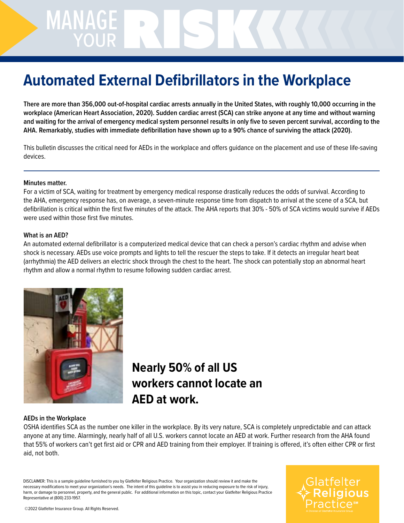# MANAGE NAGERISK

## **Automated External Defibrillators in the Workplace**

**There are more than 356,000 out-of-hospital cardiac arrests annually in the United States, with roughly 10,000 occurring in the workplace (American Heart Association, 2020). Sudden cardiac arrest (SCA) can strike anyone at any time and without warning and waiting for the arrival of emergency medical system personnel results in only five to seven percent survival, according to the AHA. Remarkably, studies with immediate defibrillation have shown up to a 90% chance of surviving the attack (2020).**

This bulletin discusses the critical need for AEDs in the workplace and offers guidance on the placement and use of these life-saving devices.

#### **Minutes matter.**

For a victim of SCA, waiting for treatment by emergency medical response drastically reduces the odds of survival. According to the AHA, emergency response has, on average, a seven-minute response time from dispatch to arrival at the scene of a SCA, but defibrillation is critical within the first five minutes of the attack. The AHA reports that 30% - 50% of SCA victims would survive if AEDs were used within those first five minutes.

#### **What is an AED?**

An automated external defibrillator is a computerized medical device that can check a person's cardiac rhythm and advise when shock is necessary. AEDs use voice prompts and lights to tell the rescuer the steps to take. If it detects an irregular heart beat (arrhythmia) the AED delivers an electric shock through the chest to the heart. The shock can potentially stop an abnormal heart rhythm and allow a normal rhythm to resume following sudden cardiac arrest.



### **Nearly 50% of all US workers cannot locate an AED at work.**

#### **AEDs in the Workplace**

OSHA identifies SCA as the number one killer in the workplace. By its very nature, SCA is completely unpredictable and can attack anyone at any time. Alarmingly, nearly half of all U.S. workers cannot locate an AED at work. Further research from the AHA found that 55% of workers can't get first aid or CPR and AED training from their employer. If training is offered, it's often either CPR or first aid, not both.

DISCLAIMER: This is a sample guideline furnished to you by Glatfelter Religious Practice. Your organization should review it and make the necessary modifications to meet your organization's needs. The intent of this guideline is to assist you in reducing exposure to the risk of injury, harm, or damage to personnel, property, and the general public. For additional information on this topic, contact your Glatfelter Religious Practice Representative at (800) 233-1957.

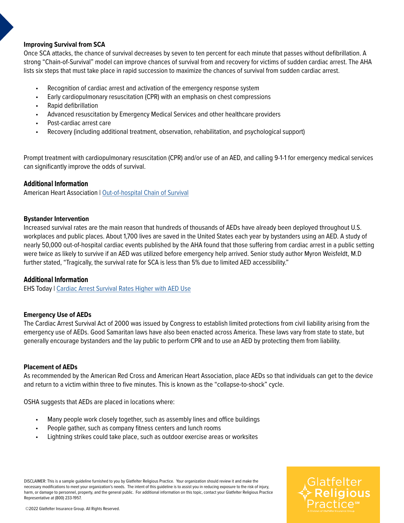#### **Improving Survival from SCA**

Once SCA attacks, the chance of survival decreases by seven to ten percent for each minute that passes without defibrillation. A strong "Chain-of-Survival" model can improve chances of survival from and recovery for victims of sudden cardiac arrest. The AHA lists six steps that must take place in rapid succession to maximize the chances of survival from sudden cardiac arrest.

- Recognition of cardiac arrest and activation of the emergency response system
- Early cardiopulmonary resuscitation (CPR) with an emphasis on chest compressions
- Rapid defibrillation
- Advanced resuscitation by Emergency Medical Services and other healthcare providers
- Post-cardiac arrest care
- Recovery (including additional treatment, observation, rehabilitation, and psychological support)

Prompt treatment with cardiopulmonary resuscitation (CPR) and/or use of an AED, and calling 9-1-1 for emergency medical services can significantly improve the odds of survival.

#### *Additional Information*

American Heart Association | [Out-of-hospital Chain of Survival](https://cpr.heart.org/en/resources/cpr-facts-and-stats/out-of-hospital-chain-of-survival)

#### **Bystander Intervention**

Increased survival rates are the main reason that hundreds of thousands of AEDs have already been deployed throughout U.S. workplaces and public places. About 1,700 lives are saved in the United States each year by bystanders using an AED. A study of nearly 50,000 out-of-hospital cardiac events published by the AHA found that those suffering from cardiac arrest in a public setting were twice as likely to survive if an AED was utilized before emergency help arrived. Senior study author Myron Weisfeldt, M.D further stated, "Tragically, the survival rate for SCA is less than 5% due to limited AED accessibility."

#### *Additional Information*

EHS Today | [Cardiac Arrest Survival Rates Higher with AED Use](https://www.ehstoday.com/health/article/21919523/cardiac-arrest-survival-rates-higher-with-aed-use?_sm_au_=iVVZgQPNq0JgRVQFk4ctvKsHftFMW)

#### **Emergency Use of AEDs**

The Cardiac Arrest Survival Act of 2000 was issued by Congress to establish limited protections from civil liability arising from the emergency use of AEDs. Good Samaritan laws have also been enacted across America. These laws vary from state to state, but generally encourage bystanders and the lay public to perform CPR and to use an AED by protecting them from liability.

#### **Placement of AEDs**

As recommended by the American Red Cross and American Heart Association, place AEDs so that individuals can get to the device and return to a victim within three to five minutes. This is known as the "collapse-to-shock" cycle.

OSHA suggests that AEDs are placed in locations where:

- Many people work closely together, such as assembly lines and office buildings
- People gather, such as company fitness centers and lunch rooms
- Lightning strikes could take place, such as outdoor exercise areas or worksites

DISCLAIMER: This is a sample guideline furnished to you by Glatfelter Religious Practice. Your organization should review it and make the necessary modifications to meet your organization's needs. The intent of this guideline is to assist you in reducing exposure to the risk of injury, harm, or damage to personnel, property, and the general public. For additional information on this topic, contact your Glatfelter Religious Practice Representative at (800) 233-1957.